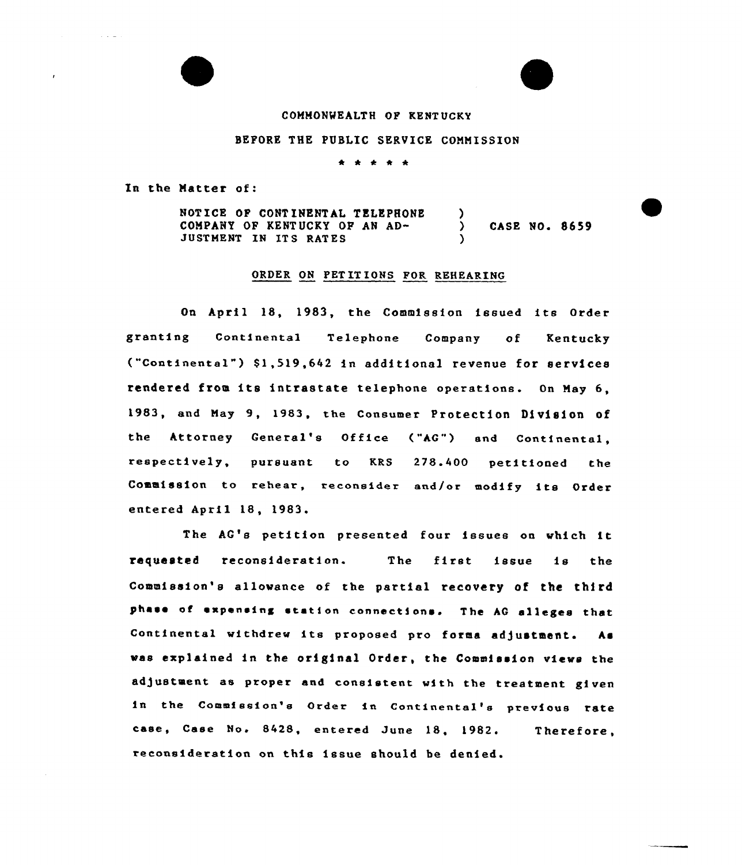## COMMONWEALTH OF KENT UCKY

## BEFORE THE PUBLIC SERVICE COMMISSION

\* \* 4 \*

In the Matter of:

 $\blacksquare$ 

NOTICE OP CONTINENTAL TELEPHONE COMPANY OP KENTUCKY OP AN AD-JUSTMENT IN ITS RATES )<br>) ) CASE NO. 8659 )

## ORDER ON PET IT IONS FOR REHEARING

On April 18, 1983, the Commission issued its Order granting Continental Telephone Company of Kentucky ("Continental") \$1,519,642 in additional revenue for services rendered from its intrastate telephone operations. On May 6, 1983, end May 9, 1983, the Consumer Protection Division of the Attorney General's Office ("AG") end Continental, respectively, pursuant to KRS 278.400 petitioned the Commission to rehear, reconsider and/or modify its Order entered April 18, 1983.

The AG's petition presented four issues on which it requested reconsideration. The first issue is the Commission's allowance of the partial recovery of the third phase of expensing station connections. The AG alleges that Continental withdrew its proposed pro forms adjustment. As vas explained in the original Order, the Commission views the ad)ustment as proper and consistent with the treatment given in the Commission's Order in Continental's previous rate case, Case No. 8428, entered June 18, 1982. reconsideration on this issue should be denied. Therefore,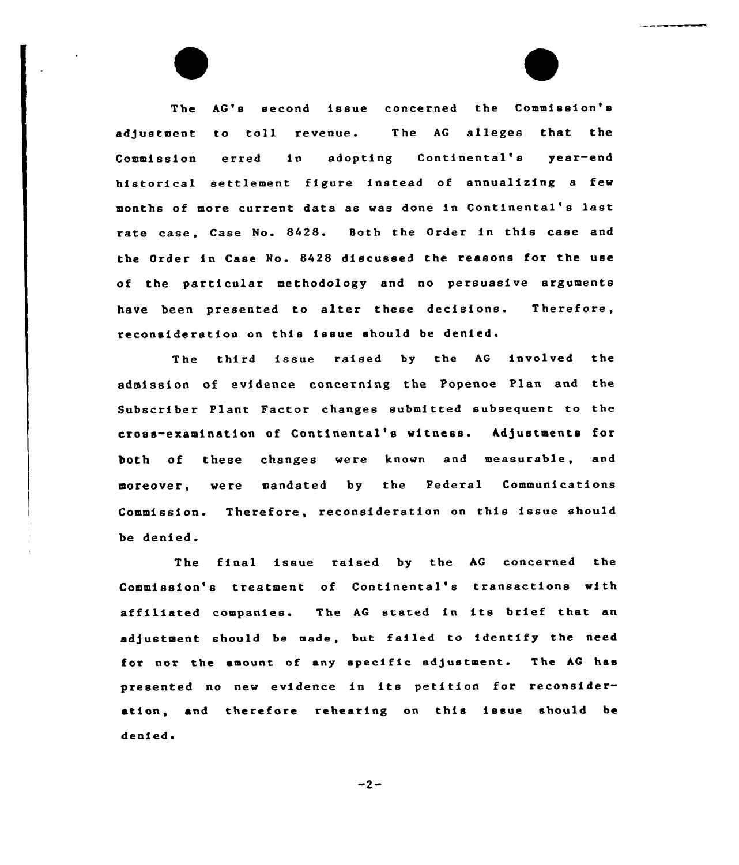The AG's second issue concerned the Commission's adjustment to toll revenue. The AG alleges that the Commission erred in adopting Continental's year-end historical settlement figure instead of annualizing a few months of more current data as was done in Continental's last rate case, Case No. 8428. Both the Order in this case and the Order in Case No. 8428 discussed the reasons for the use of the particular methodology and no persuasive arguments have been presented to alter these decisions. Therefore, reconsideration on this issue should be denied.

The third issue raised by the AG involved the admission of evidence concerning the Popenoe Plan and the Subscriber Plant Factor changes submitted subsequent to the cross-examination of Continental's witness. Adjustments for both of these changes were known and measurable, and moreover, were mandated by the Federal Communications Commission. Therefore, reconsideration on this issue should be denied.

The final issue raised by the AG concerned the Commission's treatment of Continental's transactions with affiliated companies. The AG stated in its brief that an adjustment should be made, but failed to identify the need for nor the amount of any specific adjustment. The AG has presented no new evidence in its petition for reconsideration, and therefore rehearing on this issue should be denied.

 $-2-$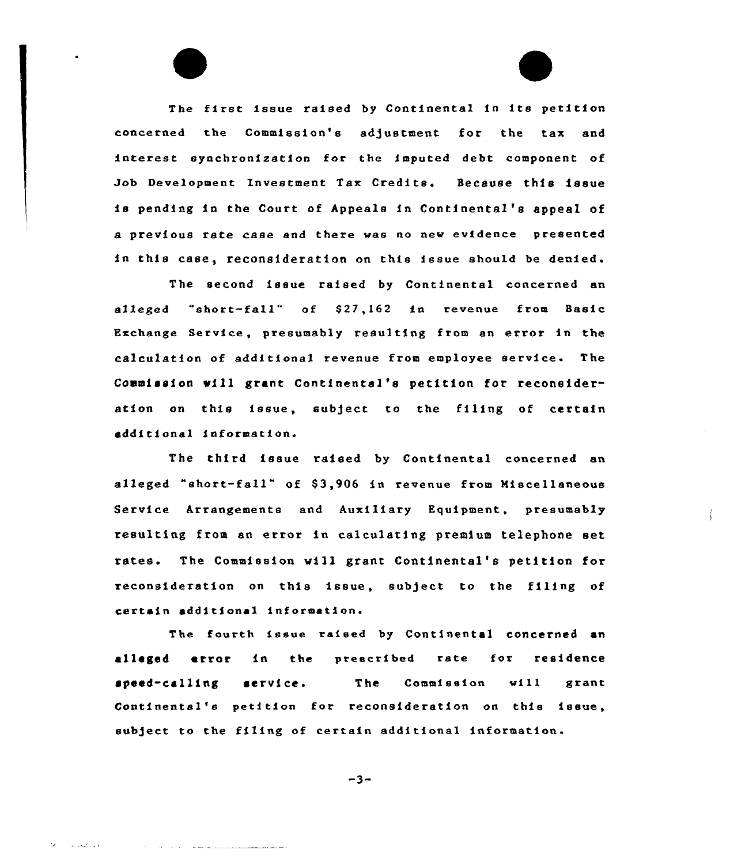The first issue raised by Continental in its petition concerned the Commission's adjustment for the tax and interest synchronization for the imputed debt component of Job Development Investment Tax Credits. Because this issue is pending in the Court of Appeals in Continental's appeal of a previous rate case and there was no new evidence presented in this case, reconsideration on this issue should be denied.

The second issue raised by Continental concerned an alleged "short-fall" of \$27,162 in revenue from Basic Exchange Service, presumably resulting from an error in the calculation of additional revenue from employee service. The Commission mill grant Continental's petition tor reconsideration on this issue, subject to the filing of certain additional information.

The third issue raised by Continental concerned an alleged "short-fall" of \$3,906 in revenue from Miscellaneous Service Arrangements and Auxiliary Equipment, presumably resulting from an error in calculating premium telephone set rates. The Commission will grant Continental's petition for reconsideration on this issue, subject to the filing of certain additional information.

The fourth issue raised by Continental concerned an alleged error in the preecribed rate for residence speed-calling service. The Commission will grant Continental's petition for reconsideration on this issue, subject to the filing of certain additional information.

 $-3-$